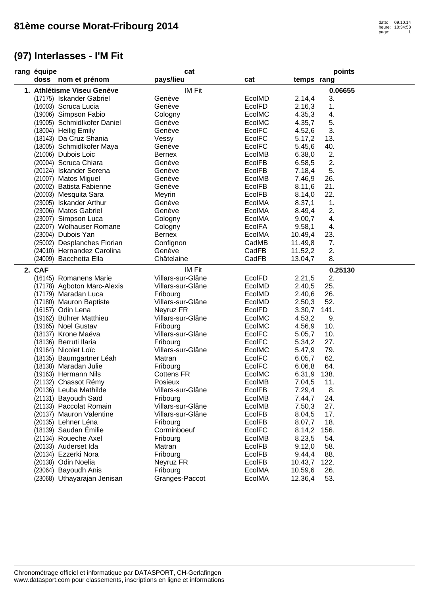| rang équipe |                             | cat               |               |            | points  |
|-------------|-----------------------------|-------------------|---------------|------------|---------|
|             | doss nom et prénom          | pays/lieu         | cat           | temps rang |         |
|             | 1. Athlétisme Viseu Genève  | IM Fit            |               |            | 0.06655 |
|             | (17175) Iskander Gabriel    | Genève            | EcolMD        | 2.14,4     | 3.      |
|             | (16003) Scruca Lucia        | Genève            | <b>EcolFD</b> | 2.16,3     | 1.      |
|             | (19006) Simpson Fabio       | Cologny           | EcolMC        | 4.35,3     | 4.      |
|             | (19005) Schmidlkofer Daniel | Genève            | EcolMC        | 4.35,7     | 5.      |
|             | (18004) Heilig Emily        | Genève            | <b>EcolFC</b> | 4.52,6     | 3.      |
|             | (18143) Da Cruz Shania      | Vessy             | <b>EcolFC</b> | 5.17,2     | 13.     |
|             | (18005) Schmidlkofer Maya   | Genève            | <b>EcolFC</b> | 5.45,6     | 40.     |
|             | (21006) Dubois Loic         | <b>Bernex</b>     | EcolMB        | 6.38,0     | 2.      |
|             | (20004) Scruca Chiara       | Genève            | EcolFB        | 6.58,5     | 2.      |
|             | (20124) Iskander Serena     | Genève            | <b>EcolFB</b> | 7.18,4     | 5.      |
|             | (21007) Matos Miguel        | Genève            | EcolMB        | 7.46,9     | 26.     |
|             | (20002) Batista Fabienne    | Genève            | EcolFB        | 8.11,6     | 21.     |
|             | (20003) Mesquita Sara       | Meyrin            | EcolFB        | 8.14,0     | 22.     |
|             | (23005) Iskander Arthur     | Genève            | EcolMA        | 8.37,1     | 1.      |
|             | (23006) Matos Gabriel       | Genève            | EcolMA        | 8.49,4     | 2.      |
|             | (23007) Simpson Luca        | Cologny           | EcolMA        | 9.00,7     | 4.      |
|             | (22007) Wolhauser Romane    | Cologny           | EcolFA        | 9.58,1     | 4.      |
|             | (23004) Dubois Yan          | <b>Bernex</b>     | EcolMA        | 10.49,4    | 23.     |
|             | (25002) Desplanches Florian | Confignon         | CadMB         | 11.49,8    | 7.      |
|             | (24010) Hernandez Carolina  | Genève            | CadFB         | 11.52,2    | 2.      |
|             | (24009) Bacchetta Ella      | Châtelaine        | CadFB         | 13.04,7    | 8.      |
| 2. CAF      |                             | IM Fit            |               |            | 0.25130 |
|             | (16145) Romanens Marie      | Villars-sur-Glâne | EcolFD        | 2.21,5     | 2.      |
|             | (17178) Agboton Marc-Alexis | Villars-sur-Glâne | EcolMD        | 2.40,5     | 25.     |
|             | (17179) Maradan Luca        | Fribourg          | EcolMD        | 2.40,6     | 26.     |
|             | (17180) Mauron Baptiste     | Villars-sur-Glâne | EcolMD        | 2.50,3     | 52.     |
|             | (16157) Odin Lena           | Neyruz FR         | EcolFD        | 3.30,7     | 141.    |
|             | (19162) Bührer Matthieu     | Villars-sur-Glâne | EcolMC        | 4.53,2     | 9.      |
|             | (19165) Noel Gustav         | Fribourg          | EcoIMC        | 4.56,9     | 10.     |
|             | (18137) Krone Maëva         | Villars-sur-Glâne | EcolFC        | 5.05,7     | 10.     |
|             | (18136) Berruti Ilaria      | Fribourg          | <b>EcolFC</b> | 5.34,2     | 27.     |
|             | (19164) Nicolet Loïc        | Villars-sur-Glâne | EcolMC        | 5.47,9     | 79.     |
|             | (18135) Baumgartner Léah    | Matran            | <b>EcolFC</b> | 6.05,7     | 62.     |
|             | (18138) Maradan Julie       | Fribourg          | EcolFC        | 6.06,8     | 64.     |
|             | (19163) Hermann Nils        | <b>Cottens FR</b> | EcolMC        | 6.31,9     | 138.    |
|             | (21132) Chassot Rémy        | Posieux           | EcolMB        | 7.04,5     | 11.     |
|             | (20136) Leuba Mathilde      | Villars-sur-Glâne | <b>EcolFB</b> | 7.29,4     | 8.      |
|             | (21131) Bayoudh Saïd        | Fribourg          | EcolMB        | 7.44,7     | 24.     |
|             | (21133) Paccolat Romain     | Villars-sur-Glâne | EcolMB        | 7.50,3     | 27.     |
|             | (20137) Mauron Valentine    | Villars-sur-Glâne | EcolFB        | 8.04,5     | 17.     |
|             | (20135) Lehner Léna         | Fribourg          | EcolFB        | 8.07,7     | 18.     |
|             | (18139) Saudan Emilie       | Corminboeuf       | <b>EcolFC</b> | 8.14,2     | 156.    |
|             | (21134) Roueche Axel        | Fribourg          | EcolMB        | 8.23,5     | 54.     |
|             | (20133) Auderset Ida        | Matran            | EcolFB        | 9.12,0     | 58.     |
|             | (20134) Ezzerki Nora        | Fribourg          | EcolFB        | 9.44,4     | 88.     |
|             | (20138) Odin Noelia         | Neyruz FR         | EcolFB        | 10.43,7    | 122.    |
|             | (23064) Bayoudh Anis        | Fribourg          | EcolMA        | 10.59,6    | 26.     |
|             | (23068) Uthayarajan Jenisan | Granges-Paccot    | EcolMA        | 12.36,4    | 53.     |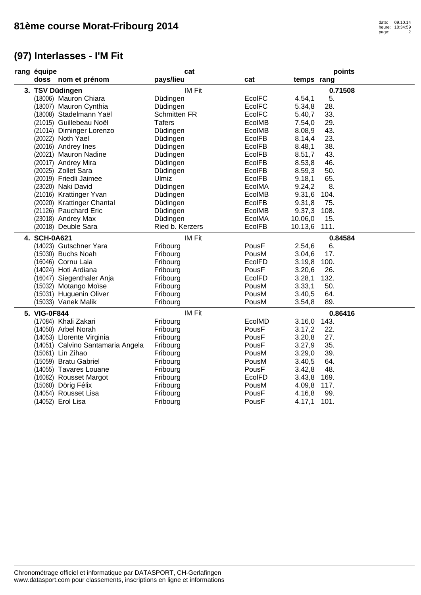| rang équipe                       | cat                 |               |              | points  |
|-----------------------------------|---------------------|---------------|--------------|---------|
| doss nom et prénom                | pays/lieu           | cat           | temps rang   |         |
| 3. TSV Düdingen                   | <b>IM Fit</b>       |               |              | 0.71508 |
| (18006) Mauron Chiara             | Düdingen            | <b>EcoIFC</b> | 4.54,1       | 5.      |
| (18007) Mauron Cynthia            | Düdingen            | <b>EcolFC</b> | 5.34,8       | 28.     |
| (18008) Stadelmann Yaël           | <b>Schmitten FR</b> | <b>EcoIFC</b> | 5.40,7       | 33.     |
| (21015) Guillebeau Noël           | <b>Tafers</b>       | EcolMB        | 7.54,0       | 29.     |
| (21014) Dirninger Lorenzo         | Düdingen            | EcolMB        | 8.08,9       | 43.     |
| (20022) Noth Yael                 | Düdingen            | <b>EcolFB</b> | 8.14,4       | 23.     |
| (20016) Andrey Ines               | Düdingen            | <b>EcolFB</b> | 8.48,1       | 38.     |
| (20021) Mauron Nadine             | Düdingen            | <b>EcolFB</b> | 8.51,7       | 43.     |
| (20017) Andrey Mira               | Düdingen            | <b>EcolFB</b> | 8.53,8       | 46.     |
| (20025) Zollet Sara               | Düdingen            | <b>EcolFB</b> | 8.59,3       | 50.     |
| (20019) Friedli Jaimee            | Ulmiz               | EcolFB        | 9.18,1       | 65.     |
| (23020) Naki David                | Düdingen            | EcolMA        | 9.24,2       | 8.      |
| (21016) Krattinger Yvan           | Düdingen            | EcolMB        | 9.31,6       | 104.    |
| (20020) Krattinger Chantal        | Düdingen            | <b>EcolFB</b> | 9.31,8       | 75.     |
| (21126) Pauchard Eric             | Düdingen            | EcolMB        | 9.37,3       | 108.    |
| (23018) Andrey Max                | Düdingen            | EcolMA        | 10.06,0      | 15.     |
| (20018) Deuble Sara               | Ried b. Kerzers     | <b>EcolFB</b> | 10.13,6 111. |         |
| 4. SCH-0A621                      | <b>IM Fit</b>       |               |              | 0.84584 |
| (14023) Gutschner Yara            | Fribourg            | PousF         | 2.54,6       | 6.      |
| (15030) Buchs Noah                | Fribourg            | PousM         | 3.04,6       | 17.     |
| (16046) Cornu Laia                | Fribourg            | EcolFD        | 3.19,8       | 100.    |
| (14024) Hoti Ardiana              | Fribourg            | PousF         | 3.20,6       | 26.     |
| (16047) Siegenthaler Anja         | Fribourg            | EcolFD        | 3.28,1       | 132.    |
| (15032) Motango Moïse             | Fribourg            | PousM         | 3.33,1       | 50.     |
| (15031) Huguenin Oliver           | Fribourg            | PousM         | 3.40,5       | 64.     |
| (15033) Vanek Malik               | Fribourg            | PousM         | 3.54,8       | 89.     |
| 5. VIG-0F844                      | <b>IM Fit</b>       |               |              | 0.86416 |
| (17084) Khali Zakari              | Fribourg            | EcolMD        | 3.16,0       | 143.    |
| (14050) Arbel Norah               | Fribourg            | PousF         | 3.17,2       | 22.     |
| (14053) Llorente Virginia         | Fribourg            | PousF         | 3.20,8       | 27.     |
| (14051) Calvino Santamaria Angela | Fribourg            | PousF         | 3.27,9       | 35.     |
| (15061) Lin Zihao                 | Fribourg            | PousM         | 3.29,0       | 39.     |
| (15059) Bratu Gabriel             | Fribourg            | PousM         | 3.40,5       | 64.     |
| (14055) Tavares Louane            | Fribourg            | PousF         | 3.42,8       | 48.     |
| (16082) Rousset Margot            | Fribourg            | <b>EcolFD</b> | 3.43,8       | 169.    |
| (15060) Dörig Félix               | Fribourg            | PousM         | 4.09,8       | 117.    |
| (14054) Rousset Lisa              | Fribourg            | PousF         | 4.16,8       | 99.     |
| (14052) Erol Lisa                 | Fribourg            | PousF         | 4.17,1       | 101.    |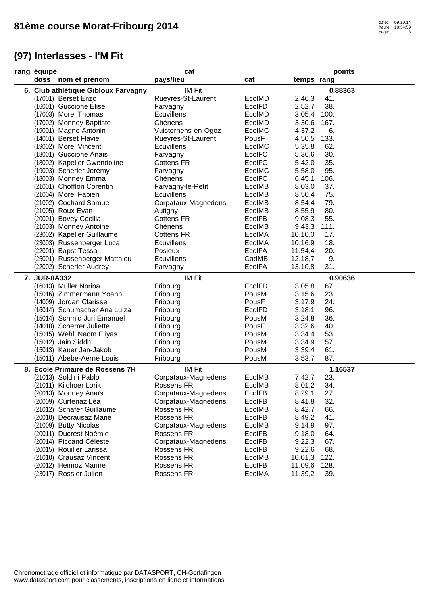| cat<br>rang équipe                  |                     |               |            | points  |
|-------------------------------------|---------------------|---------------|------------|---------|
| doss nom et prénom                  | pays/lieu           | cat           | temps rang |         |
| 6. Club athlétique Gibloux Farvagny | IM Fit              |               |            | 0.88363 |
| (17001) Berset Enzo                 | Rueyres-St-Laurent  | EcolMD        | 2.46,3     | 41.     |
| (16001) Guccione Élise              | Farvagny            | EcolFD        | 2.52,7     | 38.     |
| (17003) Morel Thomas                | Ecuvillens          | EcolMD        | 3.05,4     | 100.    |
| (17002) Monney Baptiste             | Chénens             | EcolMD        | 3.30,6     | 167.    |
| (19001) Magne Antonin               | Vuisternens-en-Ogoz | EcolMC        | 4.37,2     | 6.      |
| (14001) Berset Flavie               | Rueyres-St-Laurent  | PousF         | 4.50,5     | 133.    |
| (19002) Morel Vincent               | Ecuvillens          | EcolMC        | 5.35,8     | 62.     |
| (18001) Guccione Anais              | Farvagny            | EcolFC        | 5.36,6     | 30.     |
| (18002) Kapeller Gwendoline         | <b>Cottens FR</b>   | <b>EcolFC</b> | 5.42,0     | 35.     |
| (19003) Scherler Jérémy             | Farvagny            | EcolMC        | 5.58,0     | 95.     |
| (18003) Monney Emma                 | Chénens             | EcolFC        | 6.45,1     | 106.    |
| (21001) Chofflon Corentin           | Farvagny-le-Petit   | EcolMB        | 8.03,0     | 37.     |
| (21004) Morel Fabien                | Ecuvillens          | EcolMB        | 8.50,4     | 75.     |
| (21002) Cochard Samuel              | Corpataux-Magnedens | EcolMB        | 8.54,4     | 79.     |
| (21005) Roux Evan                   | Autigny             | EcolMB        | 8.55,9     | 80.     |
| (20001) Bovey Cécilia               | <b>Cottens FR</b>   | <b>EcolFB</b> | 9.08,3     | 55.     |
| (21003) Monney Antoine              | Chénens             | EcolMB        | 9.43,3     | 111.    |
| (23002) Kapeller Guillaume          | <b>Cottens FR</b>   | EcolMA        | 10.10,0    | 17.     |
| (23003) Russenberger Luca           | Ecuvillens          | EcolMA        | 10.16,9    | 18.     |
| (22001) Bapst Tessa                 | Posieux             | <b>EcolFA</b> | 11.54,4    | 20.     |
| (25001) Russenberger Matthieu       | Ecuvillens          | CadMB         | 12.18,7    | 9.      |
| (22002) Scherler Audrey             | Farvagny            | <b>EcolFA</b> | 13.10,8    | 31.     |
|                                     |                     |               |            | 0.90636 |
| 7. JUR-0A332                        | IM Fit              |               |            |         |
| (16013) Müller Norina               | Fribourg            | EcolFD        | 3.05,8     | 67.     |
| (15016) Zimmermann Yoann            | Fribourg            | PousM         | 3.15,6     | 23.     |
| (14009) Jordan Clarisse             | Fribourg            | PousF         | 3.17,9     | 24.     |
| (16014) Schumacher Ana Luiza        | Fribourg            | EcolFD        | 3.18,1     | 96.     |
| (15014) Schmid Juri Emanuel         | Fribourg            | PousM         | 3.24,8     | 36.     |
| (14010) Scherrer Juliette           | Fribourg            | PousF         | 3.32,6     | 40.     |
| (15015) Wehli Naom Eliyas           | Fribourg            | PousM         | 3.34,4     | 53.     |
| (15012) Jain Siddh                  | Fribourg            | PousM         | 3.34,9     | 57.     |
| (15013) Kauer Jan-Jakob             | Fribourg            | PousM         | 3.39,4     | 61.     |
| (15011) Abebe-Aerne Louis           | Fribourg            | PousM         | 3.53,7     | 87.     |
| 8. Ecole Primaire de Rossens 7H     | IM Fit              |               |            | 1.16537 |
| (21013) Soldini Pablo               | Corpataux-Magnedens | EcolMB        | 7.42,7     | 23.     |
| (21011) Kilchoer Lorik              | Rossens FR          | EcolMB        | 8.01,2     | 34.     |
| (20013) Monney Anaïs                | Corpataux-Magnedens | <b>EcolFB</b> | 8.29,1     | 27.     |
| (20009) Curtenaz Léa                | Corpataux-Magnedens | <b>EcolFB</b> | 8.41,8     | 32.     |
| (21012) Schafer Guillaume           | Rossens FR          | EcolMB        | 8.42,7     | 66.     |
| (20010) Decrausaz Marie             | Rossens FR          | <b>EcolFB</b> | 8.49,2     | 41.     |
| (21009) Butty Nicolas               | Corpataux-Magnedens | EcolMB        | 9.14,9     | 97.     |
| (20011) Ducrest Noémie              | Rossens FR          | <b>EcolFB</b> | 9.18,0     | 64.     |
| (20014) Piccand Céleste             | Corpataux-Magnedens | <b>EcolFB</b> | 9.22,3     | 67.     |
| (20015) Rouiller Larissa            | Rossens FR          | EcolFB        | 9.22,6     | 68.     |
| (21010) Crausaz Vincent             | Rossens FR          | EcolMB        | 10.01,3    | 122.    |
| (20012) Heimoz Marine               | Rossens FR          | <b>EcolFB</b> | 11.09,6    | 128.    |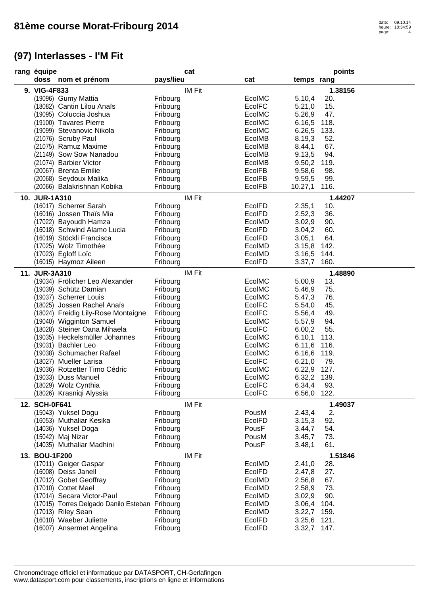| rang équipe                                    |           | cat           |               |             | points  |
|------------------------------------------------|-----------|---------------|---------------|-------------|---------|
| doss nom et prénom                             | pays/lieu |               | cat           | temps rang  |         |
| 9. VIG-4F833                                   |           | <b>IM Fit</b> |               |             | 1.38156 |
| (19096) Gumy Mattia                            | Fribourg  |               | EcolMC        | 5.10,4      | 20.     |
| (18082) Cantin Lilou Anaïs                     | Fribourg  |               | EcolFC        | 5.21,0      | 15.     |
| (19095) Coluccia Joshua                        | Fribourg  |               | EcolMC        | 5.26,9      | 47.     |
| (19100) Tavares Pierre                         | Fribourg  |               | EcolMC        | 6.16,5      | 118.    |
| (19099) Stevanovic Nikola                      | Fribourg  |               | EcolMC        | 6.26,5      | 133.    |
| (21076) Scruby Paul                            | Fribourg  |               | EcolMB        | 8.19,3      | 52.     |
| (21075) Ramuz Maxime                           | Fribourg  |               | EcolMB        | 8.44,1      | 67.     |
| (21149) Sow Sow Nanadou                        | Fribourg  |               | EcolMB        | 9.13,5      | 94.     |
| (21074) Barbier Victor                         | Fribourg  |               | EcolMB        | 9.50,2      | 119.    |
| (20067) Brenta Emilie                          | Fribourg  |               | EcolFB        | 9.58,6      | 98.     |
| (20068) Seydoux Malika                         | Fribourg  |               | EcolFB        | 9.59,5      | 99.     |
| (20066) Balakrishnan Kobika                    | Fribourg  |               | <b>EcolFB</b> | 10.27,1     | 116.    |
| 10. JUR-1A310                                  |           | <b>IM Fit</b> |               |             | 1.44207 |
| (16017) Scherrer Sarah                         | Fribourg  |               | EcolFD        | 2.35,1      | 10.     |
| (16016) Jossen Thaïs Mia                       | Fribourg  |               | EcolFD        | 2.52,3      | 36.     |
| (17022) Bayoudh Hamza                          | Fribourg  |               | EcolMD        | 3.02,9      | 90.     |
| (16018) Schwind Alamo Lucia                    | Fribourg  |               | EcolFD        | 3.04,2      | 60.     |
| (16019) Stöckli Francisca                      | Fribourg  |               | EcolFD        | 3.05,1      | 64.     |
| (17025) Wolz Timothée                          | Fribourg  |               | EcolMD        | 3.15,8      | 142.    |
| (17023) Egloff Loïc                            | Fribourg  |               | EcolMD        | 3.16,5      | 144.    |
| (16015) Haymoz Aileen                          | Fribourg  |               | EcolFD        | 3.37,7      | 160.    |
| 11. JUR-3A310                                  |           | <b>IM Fit</b> |               |             | 1.48890 |
| (19034) Frölicher Leo Alexander                | Fribourg  |               | EcolMC        | 5.00,9      | 13.     |
| (19039) Schütz Damian                          | Fribourg  |               | EcolMC        | 5.46,9      | 75.     |
| (19037) Scherrer Louis                         | Fribourg  |               | EcolMC        | 5.47,3      | 76.     |
| (18025) Jossen Rachel Anaïs                    | Fribourg  |               | EcolFC        | 5.54,0      | 45.     |
| (18024) Freidig Lily-Rose Montaigne            | Fribourg  |               | EcolFC        | 5.56,4      | 49.     |
| (19040) Wigginton Samuel                       | Fribourg  |               | EcolMC        | 5.57,9      | 94.     |
| (18028) Steiner Oana Mihaela                   | Fribourg  |               | EcolFC        | 6.00,2      | 55.     |
| (19035) Heckelsmüller Johannes                 | Fribourg  |               | EcolMC        | 6.10,1      | 113.    |
| (19031) Bächler Leo                            | Fribourg  |               | EcolMC        | 6.11,6 116. |         |
| (19038) Schumacher Rafael                      | Fribourg  |               | EcolMC        | 6.16, 6     | 119.    |
| (18027) Mueller Larisa                         | Fribourg  |               | <b>EcolFC</b> | 6.21,0      | 79.     |
| (19036) Rotzetter Timo Cédric                  | Fribourg  |               | EcolMC        | 6.22,9 127. |         |
| (19033) Duss Manuel                            | Fribourg  |               | EcolMC        | 6.32,2 139. |         |
| (18029) Wolz Cynthia                           | Fribourg  |               | EcolFC        | 6.34,4 93.  |         |
| (18026) Krasniqi Alyssia                       | Fribourg  |               | <b>EcolFC</b> | 6.56,0      | 122.    |
| 12. SCH-0F641                                  |           | <b>IM Fit</b> |               |             | 1.49037 |
| (15043) Yuksel Dogu                            | Fribourg  |               | PousM         | 2.43,4      | 2.      |
| (16053) Muthaliar Kesika                       | Fribourg  |               | <b>EcolFD</b> | 3.15,3      | 92.     |
| (14036) Yuksel Doga                            | Fribourg  |               | PousF         | 3.44,7      | 54.     |
| (15042) Maj Nizar                              | Fribourg  |               | PousM         | 3.45,7      | 73.     |
| (14035) Muthaliar Madhini                      | Fribourg  |               | PousF         | 3.48,1      | 61.     |
| 13. BOU-1F200                                  |           | <b>IM Fit</b> |               |             | 1.51846 |
| (17011) Geiger Gaspar                          | Fribourg  |               | EcolMD        | 2.41,0      | 28.     |
| (16008) Deiss Janell                           | Fribourg  |               | EcolFD        | 2.47,8      | 27.     |
| (17012) Gobet Geoffray                         | Fribourg  |               | EcolMD        | 2.56,8      | 67.     |
| (17010) Cottet Mael                            | Fribourg  |               | EcolMD        | 2.58,9      | 73.     |
| (17014) Secara Victor-Paul                     | Fribourg  |               | EcolMD        | 3.02,9      | 90.     |
| (17015) Torres Delgado Danilo Esteban Fribourg |           |               | EcolMD        | 3.06,4      | 104.    |
| (17013) Riley Sean                             | Fribourg  |               | EcolMD        | 3.22,7      | 159.    |
| (16010) Waeber Juliette                        | Fribourg  |               | EcolFD        | 3.25,6      | 121.    |
| (16007) Ansermet Angelina                      | Fribourg  |               | <b>EcolFD</b> | 3.32,7 147. |         |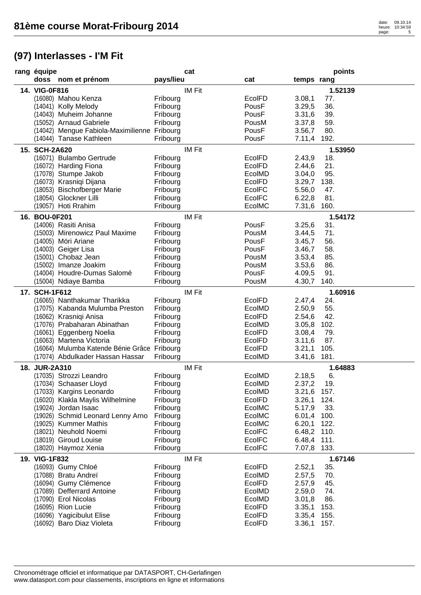| rang équipe   |                                              |           | cat           |               |             | points  |
|---------------|----------------------------------------------|-----------|---------------|---------------|-------------|---------|
|               | doss nom et prénom                           | pays/lieu |               | cat           | temps rang  |         |
| 14. VIG-0F816 |                                              |           | <b>IM Fit</b> |               |             | 1.52139 |
|               | (16080) Mahou Kenza                          | Fribourg  |               | <b>EcolFD</b> | 3.08,1      | 77.     |
|               | (14041) Kolly Melody                         | Fribourg  |               | PousF         | 3.29,5      | 36.     |
|               | (14043) Muheim Johanne                       | Fribourg  |               | PousF         | 3.31,6      | 39.     |
|               | (15052) Arnaud Gabriele                      | Fribourg  |               | PousM         | 3.37,8      | 59.     |
|               | (14042) Mengue Fabiola-Maximilienne Fribourg |           |               | PousF         | 3.56,7      | 80.     |
|               | (14044) Tanase Kathleen                      | Fribourg  |               | PousF         | 7.11,4      | 192.    |
| 15. SCH-2A620 |                                              |           | <b>IM Fit</b> |               |             | 1.53950 |
|               | (16071) Bulambo Gertrude                     | Fribourg  |               | EcolFD        | 2.43,9      | 18.     |
|               | (16072) Harding Fiona                        | Fribourg  |               | EcolFD        | 2.44,6      | 21.     |
|               | (17078) Stumpe Jakob                         | Fribourg  |               | EcolMD        | 3.04,0      | 95.     |
|               | (16073) Krasniqi Dijana                      | Fribourg  |               | EcolFD        | 3.29,7      | 138.    |
|               | (18053) Bischofberger Marie                  | Fribourg  |               | EcolFC        | 5.56,0      | 47.     |
|               | (18054) Glockner Lilli                       | Fribourg  |               | EcolFC        | 6.22,8      | 81.     |
|               | (19057) Hoti Rrahim                          | Fribourg  |               | EcolMC        | 7.31,6      | 160.    |
|               |                                              |           |               |               |             |         |
| 16. BOU-0F201 |                                              |           | <b>IM Fit</b> |               |             | 1.54172 |
|               | (14006) Rasiti Anisa                         | Fribourg  |               | PousF         | 3.25,6      | 31.     |
|               | (15003) Mirenowicz Paul Maxime               | Fribourg  |               | PousM         | 3.44,5      | 71.     |
|               | (14005) Möri Ariane                          | Fribourg  |               | PousF         | 3.45,7      | 56.     |
|               | (14003) Geiger Lisa                          | Fribourg  |               | PousF         | 3.46,7      | 58.     |
|               | (15001) Chobaz Jean                          | Fribourg  |               | PousM         | 3.53,4      | 85.     |
|               | (15002) Imanze Joakim                        | Fribourg  |               | PousM         | 3.53,6      | 86.     |
|               | (14004) Houdre-Dumas Salomé                  | Fribourg  |               | PousF         | 4.09,5      | 91.     |
|               | (15004) Ndiaye Bamba                         | Fribourg  |               | PousM         | 4.30,7      | 140.    |
| 17. SCH-1F612 |                                              |           | <b>IM Fit</b> |               |             | 1.60916 |
|               | (16065) Nanthakumar Tharikka                 | Fribourg  |               | EcolFD        | 2.47,4      | 24.     |
|               | (17075) Kabanda Mulumba Preston              | Fribourg  |               | EcolMD        | 2.50,9      | 55.     |
|               | (16062) Krasniqi Anisa                       | Fribourg  |               | EcolFD        | 2.54,6      | 42.     |
|               | (17076) Prabaharan Abinathan                 | Fribourg  |               | EcolMD        | 3.05,8      | 102.    |
|               | (16061) Eggenberg Noelia                     | Fribourg  |               | EcolFD        | 3.08,4      | 79.     |
|               | (16063) Martena Victoria                     | Fribourg  |               | EcolFD        | 3.11,6      | 87.     |
|               | (16064) Mulumba Katende Bénie Grâce Fribourg |           |               | EcolFD        | 3.21,1      | 105.    |
|               | (17074) Abdulkader Hassan Hassar             | Fribourg  |               | EcolMD        | 3.41,6      | 181.    |
| 18. JUR-2A310 |                                              |           | <b>IM Fit</b> |               |             | 1.64883 |
|               | (17035) Strozzi Leandro                      | Fribourg  |               | EcolMD        | 2.18,5      | 6.      |
|               | (17034) Schaaser Lloyd                       | Fribourg  |               | EcolMD        | 2.37,2      | 19.     |
|               | (17033) Kargins Leonardo                     | Fribourg  |               | EcolMD        | 3.21,6 157. |         |
|               | (16020) Klakla Maylis Wilhelmine             | Fribourg  |               | EcolFD        | 3.26,1 124. |         |
|               | (19024) Jordan Isaac                         | Fribourg  |               | EcolMC        | 5.17,9      | 33.     |
|               | (19026) Schmid Leonard Lenny Arno            | Fribourg  |               | EcolMC        | 6.01,4 100. |         |
|               | (19025) Kummer Mathis                        | Fribourg  |               | EcoIMC        | 6.20,1 122. |         |
|               | (18021) Neuhold Noemi                        | Fribourg  |               | EcolFC        | 6.48,2 110. |         |
|               | (18019) Giroud Louise                        | Fribourg  |               | <b>EcolFC</b> | 6.48,4 111. |         |
|               | (18020) Haymoz Xenia                         | Fribourg  |               | EcolFC        | 7.07,8 133. |         |
|               |                                              |           | <b>IM Fit</b> |               |             | 1.67146 |
| 19. VIG-1F832 | (16093) Gumy Chloé                           | Fribourg  |               | EcolFD        | 2.52,1      | 35.     |
|               | (17088) Bratu Andreï                         | Fribourg  |               | EcolMD        |             | 70.     |
|               |                                              |           |               |               | 2.57,5      |         |
|               | (16094) Gumy Clémence                        | Fribourg  |               | <b>EcolFD</b> | 2.57,9      | 45.     |
|               | (17089) Defferrard Antoine                   | Fribourg  |               | EcolMD        | 2.59,0      | 74.     |
|               | (17090) Erol Nicolas                         | Fribourg  |               | EcolMD        | 3.01,8      | 86.     |
|               | (16095) Rion Lucie                           | Fribourg  |               | <b>EcolFD</b> | 3.35,1      | 153.    |
|               | (16096) Yagicibulut Elise                    | Fribourg  |               | EcolFD        | 3.35,4 155. |         |
|               | (16092) Baro Diaz Violeta                    | Fribourg  |               | EcolFD        | 3.36,1 157. |         |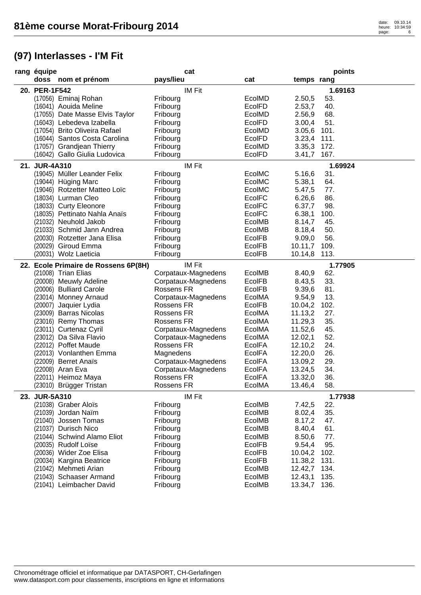| rang équipe                                  | cat                  |               |                 | points  |
|----------------------------------------------|----------------------|---------------|-----------------|---------|
| doss nom et prénom                           | pays/lieu            | cat           | temps rang      |         |
| 20. PER-1F542                                | IM Fit               |               |                 | 1.69163 |
| (17056) Eminaj Rohan                         | Fribourg             | EcolMD        | 2.50,5<br>53.   |         |
| (16041) Aouida Meline                        | Fribourg             | <b>EcolFD</b> | 40.<br>2.53,7   |         |
| (17055) Date Masse Elvis Taylor              | Fribourg             | EcolMD        | 2.56,9<br>68.   |         |
| (16043) Lebedeva Izabella                    | Fribourg             | <b>EcolFD</b> | 51.<br>3.00,4   |         |
| (17054) Brito Oliveira Rafael                | Fribourg             | EcolMD        | 3.05,6<br>101.  |         |
| (16044) Santos Costa Carolina                | Fribourg             | EcolFD        | 3.23,4 111.     |         |
| (17057) Grandjean Thierry                    | Fribourg             | EcolMD        | 3.35,3 172.     |         |
| (16042) Gallo Giulia Ludovica                | Fribourg             | EcolFD        | 3.41,7 167.     |         |
| 21. JUR-4A310                                | IM Fit               |               |                 | 1.69924 |
| (19045) Müller Leander Felix                 | Fribourg             | EcoIMC        | 31.<br>5.16,6   |         |
| (19044) Hüging Marc                          | Fribourg             | EcoIMC        | 64.<br>5.38,1   |         |
| (19046) Rotzetter Matteo Loïc                | Fribourg             | EcolMC        | 5.47,5<br>77.   |         |
| (18034) Lurman Cleo                          |                      | <b>EcolFC</b> | 6.26,6<br>86.   |         |
| (18033) Curty Eleonore                       | Fribourg<br>Fribourg | <b>EcolFC</b> | 6.37,7<br>98.   |         |
| (18035) Pettinato Nahla Anaïs                | Fribourg             | <b>EcolFC</b> | 6.38,1<br>100.  |         |
| (21032) Neuhold Jakob                        | Fribourg             | EcolMB        | 8.14,7<br>45.   |         |
| (21033) Schmid Jann Andrea                   | Fribourg             | EcolMB        | 50.<br>8.18,4   |         |
| (20030) Rotzetter Jana Elisa                 |                      | EcolFB        | 56.<br>9.09,0   |         |
|                                              | Fribourg             |               |                 |         |
| (20029) Giroud Emma<br>(20031) Wolz Laeticia | Fribourg             | <b>EcolFB</b> | 10.11,7<br>109. |         |
|                                              | Fribourg             | <b>EcolFB</b> | 10.14,8<br>113. |         |
| 22. Ecole Primaire de Rossens 6P(8H)         | IM Fit               |               |                 | 1.77905 |
| (21008) Trian Elias                          | Corpataux-Magnedens  | EcolMB        | 8.40,9<br>62.   |         |
| (20008) Meuwly Adeline                       | Corpataux-Magnedens  | EcolFB        | 33.<br>8.43,5   |         |
| (20006) Bulliard Carole                      | Rossens FR           | <b>EcolFB</b> | 81.<br>9.39,6   |         |
| (23014) Monney Arnaud                        | Corpataux-Magnedens  | EcolMA        | 13.<br>9.54,9   |         |
| (20007) Jaquier Lydia                        | Rossens FR           | <b>EcolFB</b> | 10.04,2<br>102. |         |
| (23009) Barras Nicolas                       | Rossens FR           | EcolMA        | 27.<br>11.13,2  |         |
| (23016) Remy Thomas                          | Rossens FR           | EcolMA        | 35.<br>11.29,3  |         |
| (23011) Curtenaz Cyril                       | Corpataux-Magnedens  | EcolMA        | 45.<br>11.52,6  |         |
| (23012) Da Silva Flavio                      | Corpataux-Magnedens  | EcolMA        | 12.02,1<br>52.  |         |
| (22012) Poffet Maude                         | Rossens FR           | <b>EcolFA</b> | 24.<br>12.10,2  |         |
| (22013) Vonlanthen Emma                      | Magnedens            | <b>EcolFA</b> | 26.<br>12.20,0  |         |
| (22009) Berret Anaïs                         | Corpataux-Magnedens  | <b>EcolFA</b> | 29.<br>13.09,2  |         |
| (22008) Aran Eva                             | Corpataux-Magnedens  | <b>EcolFA</b> | 34.<br>13.24,5  |         |
| (22011) Heimoz Maya                          | Rossens FR           | <b>EcolFA</b> | 36.<br>13.32,0  |         |
| (23010) Brügger Tristan                      | Rossens FR           | EcolMA        | 58.<br>13.46,4  |         |
| 23. JUR-5A310                                | <b>IM Fit</b>        |               |                 | 1.77938 |
| (21038) Graber Aloïs                         | Fribourg             | EcolMB        | 7.42,5<br>22.   |         |
| (21039) Jordan Naïm                          | Fribourg             | EcolMB        | 35.<br>8.02,4   |         |
| (21040) Jossen Tomas                         | Fribourg             | <b>EcolMB</b> | 8.17,2<br>47.   |         |
| (21037) Durisch Nico                         | Fribourg             | EcolMB        | 8.40,4<br>61.   |         |
| (21044) Schwind Alamo Eliot                  | Fribourg             | EcolMB        | 8.50,6<br>77.   |         |
| (20035) Rudolf Loïse                         | Fribourg             | <b>EcolFB</b> | 95.<br>9.54,4   |         |
| (20036) Wider Zoe Elisa                      | Fribourg             | <b>EcolFB</b> | 10.04,2<br>102. |         |
| (20034) Kargina Beatrice                     | Fribourg             | <b>EcolFB</b> | 11.38,2 131.    |         |
| (21042) Mehmeti Arian                        | Fribourg             | EcolMB        | 12.42,7 134.    |         |
| (21043) Schaaser Armand                      | Fribourg             | EcolMB        | 135.<br>12.43,1 |         |
| (21041) Leimbacher David                     | Fribourg             | EcolMB        | 13.34,7 136.    |         |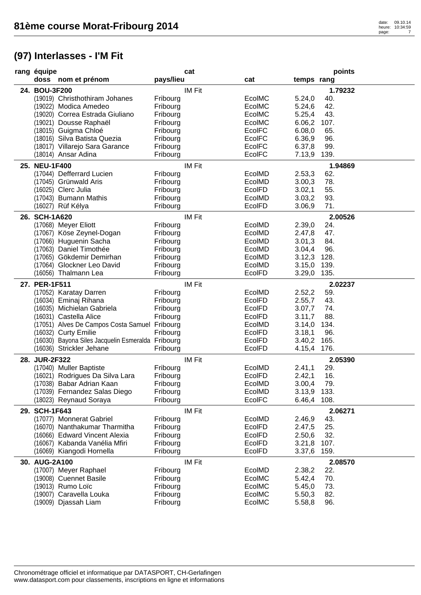| rang équipe   |                                                   |           | cat           |               |             | points  |
|---------------|---------------------------------------------------|-----------|---------------|---------------|-------------|---------|
|               | doss nom et prénom                                | pays/lieu |               | cat           | temps rang  |         |
| 24. BOU-3F200 |                                                   |           | <b>IM Fit</b> |               |             | 1.79232 |
|               | (19019) Christhothiram Johanes                    | Fribourg  |               | EcolMC        | 5.24,0      | 40.     |
|               | (19022) Modica Amedeo                             | Fribourg  |               | EcolMC        | 5.24,6      | 42.     |
|               | (19020) Correa Estrada Giuliano                   | Fribourg  |               | EcolMC        | 5.25,4      | 43.     |
|               | (19021) Dousse Raphaël                            | Fribourg  |               | EcolMC        | 6.06,2      | 107.    |
|               | (18015) Guigma Chloé                              | Fribourg  |               | EcolFC        | 6.08,0      | 65.     |
|               | (18016) Silva Batista Quezia                      | Fribourg  |               | EcolFC        | 6.36,9      | 96.     |
|               | (18017) Villarejo Sara Garance                    | Fribourg  |               | EcolFC        | 6.37,8      | 99.     |
|               | (18014) Ansar Adina                               | Fribourg  |               | EcolFC        | 7.13,9      | 139.    |
| 25. NEU-1F400 |                                                   |           | <b>IM Fit</b> |               |             | 1.94869 |
|               | (17044) Defferrard Lucien                         | Fribourg  |               | EcolMD        | 2.53,3      | 62.     |
|               | (17045) Grünwald Aris                             | Fribourg  |               | EcolMD        | 3.00,3      | 78.     |
|               | (16025) Clerc Julia                               | Fribourg  |               | EcolFD        | 3.02,1      | 55.     |
|               | (17043) Bumann Mathis                             | Fribourg  |               | EcolMD        | 3.03,2      | 93.     |
|               | (16027) Rüf Kélya                                 | Fribourg  |               | EcolFD        | 3.06,9      | 71.     |
| 26. SCH-1A620 |                                                   |           | <b>IM Fit</b> |               |             | 2.00526 |
|               | (17068) Meyer Eliott                              | Fribourg  |               | EcolMD        | 2.39,0      | 24.     |
|               | (17067) Köse Zeynel-Dogan                         | Fribourg  |               | EcolMD        | 2.47,8      | 47.     |
|               | (17066) Huguenin Sacha                            | Fribourg  |               | EcolMD        | 3.01,3      | 84.     |
|               | (17063) Daniel Timothée                           | Fribourg  |               | EcolMD        | 3.04,4      | 96.     |
|               | (17065) Gökdemir Demirhan                         | Fribourg  |               | EcolMD        | 3.12,3      | 128.    |
|               | (17064) Glockner Leo David                        | Fribourg  |               | EcolMD        | 3.15,0      | 139.    |
|               | (16056) Thalmann Lea                              | Fribourg  |               | EcolFD        | 3.29,0      | 135.    |
|               |                                                   |           |               |               |             |         |
| 27. PER-1F511 |                                                   |           | <b>IM Fit</b> |               |             | 2.02237 |
|               | (17052) Karatay Darren                            | Fribourg  |               | EcolMD        | 2.52,2      | 59.     |
|               | (16034) Eminaj Rihana                             | Fribourg  |               | EcolFD        | 2.55,7      | 43.     |
|               | (16035) Michielan Gabriela                        | Fribourg  |               | <b>EcolFD</b> | 3.07,7      | 74.     |
|               | (16031) Castella Alice                            | Fribourg  |               | EcolFD        | 3.11,7      | 88.     |
|               | (17051) Alves De Campos Costa Samuel Fribourg     |           |               | EcolMD        | 3.14,0      | 134.    |
|               | (16032) Curty Emilie                              | Fribourg  |               | EcolFD        | 3.18,1      | 96.     |
|               | (16030) Bayona Siles Jacquelin Esmeralda Fribourg |           |               | EcolFD        | 3.40,2      | 165.    |
|               | (16036) Strickler Jehane                          | Fribourg  |               | EcolFD        | 4.15,4      | 176.    |
| 28. JUR-2F322 |                                                   |           | <b>IM Fit</b> |               |             | 2.05390 |
|               | (17040) Muller Baptiste                           | Fribourg  |               | EcolMD        | 2.41,1      | 29.     |
|               | (16021) Rodrigues Da Silva Lara                   | Fribourg  |               | EcolFD        | 2.42,1      | 16.     |
|               | (17038) Babar Adrian Kaan                         | Fribourg  |               | EcolMD        | 3.00,4      | 79.     |
|               | (17039) Fernandez Salas Diego                     | Fribourg  |               | EcolMD        | 3.13,9 133. |         |
|               | (18023) Reynaud Soraya                            | Fribourg  |               | EcolFC        | 6.46,4 108. |         |
| 29. SCH-1F643 |                                                   |           | <b>IM Fit</b> |               |             | 2.06271 |
|               | (17077) Monnerat Gabriel                          | Fribourg  |               | EcolMD        | 2.46,9      | 43.     |
|               | (16070) Nanthakumar Tharmitha                     | Fribourg  |               | EcolFD        | 2.47,5      | 25.     |
|               | (16066) Edward Vincent Alexia                     | Fribourg  |               | EcolFD        | 2.50,6      | 32.     |
|               | (16067) Kabanda Vanélia Mfiri                     | Fribourg  |               | <b>EcolFD</b> | 3.21,8      | 107.    |
|               | (16069) Kiangodi Hornella                         | Fribourg  |               | EcolFD        | 3.37,6 159. |         |
| 30. AUG-2A100 |                                                   |           | <b>IM Fit</b> |               |             | 2.08570 |
|               | (17007) Meyer Raphael                             | Fribourg  |               | EcolMD        | 2.38,2      | 22.     |
|               | (19008) Cuennet Basile                            | Fribourg  |               | EcolMC        | 5.42,4      | 70.     |
|               | (19013) Rumo Loïc                                 | Fribourg  |               | EcoIMC        | 5.45,0      | 73.     |
|               | (19007) Caravella Louka                           | Fribourg  |               | EcolMC        | 5.50,3      | 82.     |
|               | (19009) Djassah Liam                              | Fribourg  |               | EcolMC        | 5.58,8      | 96.     |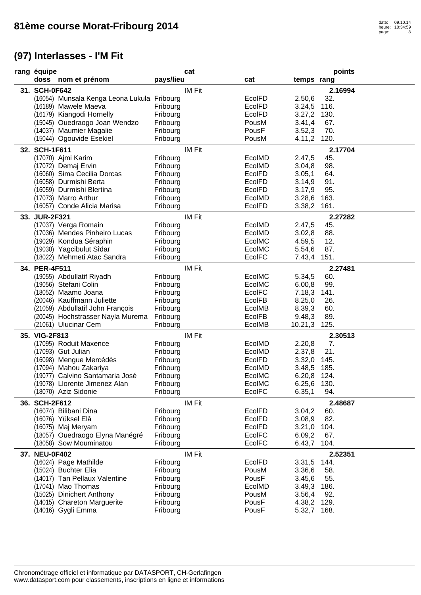| rang équipe                                           |                      | cat           |                |                       | points  |
|-------------------------------------------------------|----------------------|---------------|----------------|-----------------------|---------|
| doss nom et prénom                                    | pays/lieu            |               | cat            | temps rang            |         |
| 31. SCH-0F642                                         |                      | <b>IM Fit</b> |                |                       | 2.16994 |
| (16054) Munsala Kenga Leona Lukula Fribourg           |                      |               | <b>EcolFD</b>  | 2.50,6                | 32.     |
| (16189) Mawele Maeva                                  | Fribourg             |               | <b>EcolFD</b>  | 3.24,5                | 116.    |
| (16179) Kiangodi Hornelly                             | Fribourg             |               | <b>EcolFD</b>  | 3.27,2                | 130.    |
| (15045) Ouedraogo Joan Wendzo                         | Fribourg             |               | PousM          | 3.41,4                | 67.     |
| (14037) Maumier Magalie                               | Fribourg             |               | PousF          | 3.52,3                | 70.     |
| (15044) Ogouvide Esekiel                              | Fribourg             |               | PousM          | 4.11,2 120.           |         |
| 32. SCH-1F611                                         |                      | <b>IM Fit</b> |                |                       | 2.17704 |
| (17070) Ajmi Karim                                    | Fribourg             |               | EcolMD         | 2.47,5                | 45.     |
| (17072) Demaj Ervin                                   | Fribourg             |               | EcolMD         | 3.04,8                | 98.     |
| (16060) Sima Cecilia Dorcas                           | Fribourg             |               | <b>EcolFD</b>  | 3.05,1                | 64.     |
| (16058) Durmishi Berta                                | Fribourg             |               | <b>EcolFD</b>  | 3.14,9                | 91.     |
| (16059) Durmishi Blertina                             | Fribourg             |               | EcolFD         | 3.17,9                | 95.     |
| (17073) Marro Arthur                                  | Fribourg             |               | EcolMD         | 3.28,6                | 163.    |
| (16057) Conde Alicia Marisa                           | Fribourg             |               | <b>EcolFD</b>  | 3.38,2                | 161.    |
| 33. JUR-2F321                                         |                      | <b>IM Fit</b> |                |                       | 2.27282 |
| (17037) Verga Romain                                  | Fribourg             |               | EcolMD         | 2.47,5                | 45.     |
| (17036) Mendes Pinheiro Lucas                         | Fribourg             |               | EcolMD         | 3.02,8                | 88.     |
| (19029) Kondua Séraphin                               | Fribourg             |               | EcolMC         | 4.59,5                | 12.     |
| (19030) Yagcibulut Sîdar                              | Fribourg             |               | EcolMC         | 5.54,6                | 87.     |
| (18022) Mehmeti Atac Sandra                           | Fribourg             |               | EcolFC         | 7.43,4                | 151.    |
| 34. PER-4F511                                         |                      | <b>IM Fit</b> |                |                       | 2.27481 |
| (19055) Abdullatif Riyadh                             | Fribourg             |               | EcolMC         | 5.34,5                | 60.     |
| (19056) Stefani Colin                                 | Fribourg             |               | EcolMC         | 6.00,8                | 99.     |
| (18052) Maamo Joana                                   | Fribourg             |               | <b>EcolFC</b>  | 7.18,3                | 141.    |
| (20046) Kauffmann Juliette                            | Fribourg             |               | <b>EcolFB</b>  | 8.25,0                | 26.     |
| (21059) Abdullatif John François                      | Fribourg             |               | EcolMB         | 8.39,3                | 60.     |
| (20045) Hochstrasser Nayla Murema                     | Fribourg             |               | <b>EcolFB</b>  | 9.48,3                | 89.     |
| (21061) Ulucinar Cem                                  | Fribourg             |               | EcolMB         | 10.21,3               | 125.    |
| 35. VIG-2F813                                         |                      | <b>IM Fit</b> |                |                       | 2.30513 |
| (17095) Roduit Maxence                                | Fribourg             |               | EcolMD         | 2.20,8                | 7.      |
| (17093) Gut Julian                                    | Fribourg             |               | EcolMD         | 2.37,8                | 21.     |
| (16098) Mengue Mercédès                               | Fribourg             |               | EcolFD         | 3.32,0                | 145.    |
| (17094) Mahou Zakariya                                | Fribourg             |               | EcolMD         | 3.48,5                | 185.    |
| (19077) Calvino Santamaria José                       | Fribourg             |               | EcolMC         | 6.20,8 124.           |         |
| (19078) Llorente Jimenez Alan<br>(18070) Aziz Sidonie | Fribourg             |               | EcolMC         | 6.25,6 130.           |         |
|                                                       | Fribourg             |               | <b>EcolFC</b>  | 6.35,1                | 94.     |
| 36. SCH-2F612                                         |                      | IM Fit        |                |                       | 2.48687 |
| (16074) Bilibani Dina                                 | Fribourg             |               | <b>EcolFD</b>  | 3.04,2                | 60.     |
| (16076) Yüksel Elâ                                    | Fribourg             |               | <b>EcolFD</b>  | 3.08,9                | 82.     |
| (16075) Maj Meryam                                    | Fribourg             |               | <b>EcolFD</b>  | 3.21,0                | 104.    |
| (18057) Ouedraogo Elyna Manégré                       | Fribourg             |               | <b>EcolFC</b>  | 6.09,2                | 67.     |
| (18058) Sow Mouminatou                                | Fribourg             |               | <b>EcoIFC</b>  | 6.43,7                | 104.    |
| 37. NEU-0F402                                         |                      | <b>IM Fit</b> |                |                       | 2.52351 |
| (16024) Page Mathilde                                 | Fribourg             |               | EcolFD         | 3.31,5                | 144.    |
| (15024) Buchter Elia                                  | Fribourg             |               | PousM          | 3.36,6                | 58.     |
| (14017) Tan Pellaux Valentine                         | Fribourg             |               | PousF          | 3.45,6                | 55.     |
| (17041) Mao Thomas                                    | Fribourg             |               | EcolMD         | 3.49,3                | 186.    |
| (15025) Dinichert Anthony                             | Fribourg             |               | PousM          | 3.56,4                | 92.     |
| (14015) Chareton Marguerite<br>(14016) Gygli Emma     | Fribourg<br>Fribourg |               | PousF<br>PousF | 4.38,2<br>5.32,7 168. | 129.    |
|                                                       |                      |               |                |                       |         |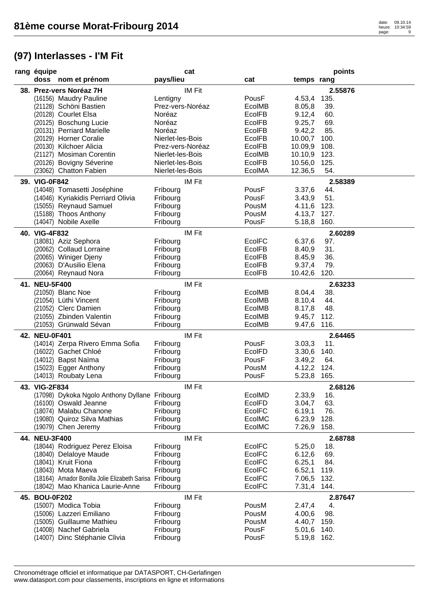| rang équipe   |                                                        |                  | cat           |               |             | points    |
|---------------|--------------------------------------------------------|------------------|---------------|---------------|-------------|-----------|
|               | doss nom et prénom                                     | pays/lieu        |               | cat           | temps rang  |           |
|               | 38. Prez-vers Noréaz 7H                                |                  | <b>IM Fit</b> |               |             | 2.55876   |
|               | (16156) Maudry Pauline                                 | Lentigny         |               | PousF         | 4.53,4      | 135.      |
|               | (21128) Schöni Bastien                                 | Prez-vers-Noréaz |               | <b>EcolMB</b> | 8.05,8      | 39.       |
|               | (20128) Courlet Elsa                                   | Noréaz           |               | <b>EcolFB</b> | 9.12,4      | 60.       |
|               | (20125) Boschung Lucie                                 | Noréaz           |               | <b>EcolFB</b> | 9.25,7      | 69.       |
|               | (20131) Perriard Marielle                              | Noréaz           |               | <b>EcolFB</b> | 9.42,2      | 85.       |
|               | (20129) Horner Coralie                                 | Nierlet-les-Bois |               | <b>EcolFB</b> | 10.00,7     | 100.      |
|               | (20130) Kilchoer Alicia                                | Prez-vers-Noréaz |               | <b>EcolFB</b> | 10.09,9     | 108.      |
|               | (21127) Mosiman Corentin                               | Nierlet-les-Bois |               | EcolMB        | 10.10,9     | 123.      |
|               | (20126) Bovigny Séverine                               | Nierlet-les-Bois |               | <b>EcolFB</b> | 10.56,0     | 125.      |
|               | (23062) Chatton Fabien                                 | Nierlet-les-Bois |               | EcolMA        | 12.36,5     | 54.       |
|               |                                                        |                  |               |               |             |           |
| 39. VIG-0F842 |                                                        |                  | IM Fit        |               |             | 2.58389   |
|               | (14048) Tomasetti Joséphine                            | Fribourg         |               | PousF         | 3.37,6      | 44.       |
|               | (14046) Kyriakidis Perriard Olivia                     | Fribourg         |               | PousF         | 3.43,9      | 51.       |
|               | (15055) Reynaud Samuel                                 | Fribourg         |               | PousM         | 4.11,6      | 123.      |
|               | (15188) Thoos Anthony                                  | Fribourg         |               | PousM         | 4.13,7      | 127.      |
|               | (14047) Nobile Axelle                                  | Fribourg         |               | PousF         | 5.18,8      | 160.      |
| 40. VIG-4F832 |                                                        |                  | IM Fit        |               |             | 2.60289   |
|               | (18081) Aziz Sephora                                   | Fribourg         |               | <b>EcolFC</b> | 6.37,6      | 97.       |
|               | (20062) Collaud Lorraine                               | Fribourg         |               | <b>EcolFB</b> | 8.40,9      | 31.       |
|               | (20065) Winiger Djeny                                  | Fribourg         |               | <b>EcolFB</b> | 8.45,9      | 36.       |
|               | (20063) D'Ausilio Elena                                | Fribourg         |               | <b>EcolFB</b> | 9.37,4      | 79.       |
|               | (20064) Reynaud Nora                                   | Fribourg         |               | <b>EcolFB</b> | 10.42,6     | 120.      |
|               |                                                        |                  |               |               |             |           |
| 41. NEU-5F400 |                                                        |                  | <b>IM Fit</b> |               |             | 2.63233   |
|               | (21050) Blanc Noe                                      | Fribourg         |               | <b>EcolMB</b> | 8.04,4      | 38.       |
|               | (21054) Lüthi Vincent                                  | Fribourg         |               | EcolMB        | 8.10,4      | 44.       |
|               | (21052) Clerc Damien                                   | Fribourg         |               | EcolMB        | 8.17,8      | 48.       |
|               | (21055) Zbinden Valentin                               | Fribourg         |               | EcolMB        | 9.45,7      | 112.      |
|               | (21053) Grünwald Sévan                                 | Fribourg         |               | EcolMB        | 9.47, 6     | 116.      |
| 42. NEU-0F401 |                                                        |                  | <b>IM Fit</b> |               |             | 2.64465   |
|               | (14014) Zerpa Rivero Emma Sofia                        | Fribourg         |               | PousF         | 3.03,3      | 11.       |
|               | (16022) Gachet Chloé                                   | Fribourg         |               | EcolFD        | 3.30,6      | 140.      |
|               | (14012) Bapst Naïma                                    | Fribourg         |               | PousF         | 3.49,2      | 64.       |
|               | (15023) Egger Anthony                                  | Fribourg         |               | PousM         | 4.12,2      | 124.      |
|               | (14013) Roubaty Lena                                   | Fribourg         |               | PousF         | 5.23,8      | 165.      |
| 43. VIG-2F834 |                                                        |                  | IM Fit        |               |             | 2.68126   |
|               | (17098) Dykoka Ngolo Anthony Dyllane Fribourg          |                  |               | EcolMD        | 2.33,9      | 16.       |
|               | (16100) Oswald Jeanne                                  | Fribourg         |               | EcolFD        | 3.04,7      | 63.       |
|               | (18074) Malabu Chanone                                 | Fribourg         |               | <b>EcolFC</b> | 6.19,1      | 76.       |
|               | (19080) Quiroz Silva Mathias                           | Fribourg         |               | EcolMC        | 6.23,9      | 128.      |
|               | (19079) Chen Jeremy                                    | Fribourg         |               | EcolMC        | 7.26,9      | 158.      |
| 44. NEU-3F400 |                                                        |                  | <b>IM Fit</b> |               |             | 2.68788   |
|               | (18044) Rodriguez Perez Eloisa                         | Fribourg         |               | <b>EcoIFC</b> | 5.25,0      | 18.       |
|               | (18040) Delaloye Maude                                 | Fribourg         |               | <b>EcolFC</b> | 6.12,6      | 69.       |
|               | (18041) Kruit Fiona                                    | Fribourg         |               | <b>EcolFC</b> | 6.25,1      | 84.       |
|               | (18043) Mota Maeva                                     | Fribourg         |               | <b>EcolFC</b> | 6.52,1      | 119.      |
|               | (18164) Amador Bonilla Jolie Elizabeth Sarisa Fribourg |                  |               | <b>EcolFC</b> | 7.06,5      | 132.      |
|               | (18042) Mao Khanica Laurie-Anne                        | Fribourg         |               | <b>EcolFC</b> | 7.31,4 144. |           |
|               |                                                        |                  |               |               |             |           |
| 45. BOU-0F202 | (15007) Modica Tobia                                   | Fribourg         | <b>IM Fit</b> | PousM         | 2.47,4      | 2.87647   |
|               | (15006) Lazzeri Emiliano                               | Fribourg         |               | PousM         | 4.00,6      | 4.<br>98. |
|               |                                                        |                  |               |               |             |           |
|               | (15005) Guillaume Mathieu                              | Fribourg         |               | PousM         | 4.40,7      | 159.      |
|               | (14008) Nachef Gabriela                                | Fribourg         |               | PousF         | 5.01,6      | 140.      |
|               | (14007) Dinc Stéphanie Clivia                          | Fribourg         |               | PousF         | 5.19,8 162. |           |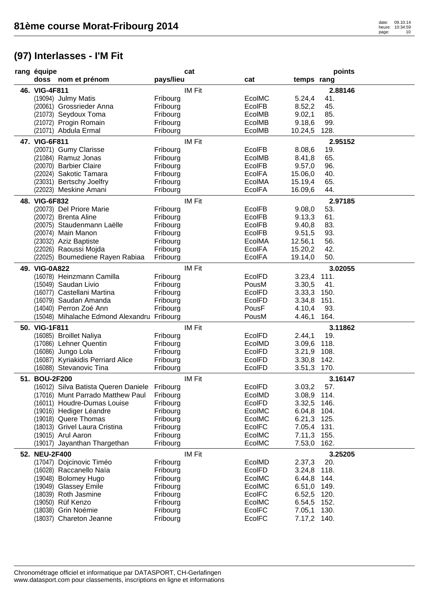| rang équipe                                       |                      | cat           |                  |                            | points      |
|---------------------------------------------------|----------------------|---------------|------------------|----------------------------|-------------|
| doss nom et prénom                                | pays/lieu            |               | cat              | temps rang                 |             |
| 46. VIG-4F811                                     |                      | <b>IM Fit</b> |                  |                            | 2.88146     |
| (19094) Julmy Matis                               | Fribourg             |               | EcolMC           | 5.24,4                     | 41.         |
| (20061) Grossrieder Anna                          | Fribourg             |               | <b>EcolFB</b>    | 8.52,2                     | 45.         |
| (21073) Seydoux Toma                              | Fribourg             |               | EcolMB           | 9.02,1                     | 85.         |
| (21072) Progin Romain                             | Fribourg             |               | EcolMB           | 9.18,6                     | 99.         |
| (21071) Abdula Ermal                              | Fribourg             |               | EcolMB           | 10.24,5                    | 128.        |
| 47. VIG-6F811                                     |                      | <b>IM Fit</b> |                  |                            | 2.95152     |
| (20071) Gumy Clarisse                             | Fribourg             |               | <b>EcolFB</b>    | 8.08,6                     | 19.         |
| (21084) Ramuz Jonas                               | Fribourg             |               | EcolMB           | 8.41,8                     | 65.         |
| (20070) Barbier Claire                            | Fribourg             |               | <b>EcolFB</b>    | 9.57,0                     | 96.         |
| (22024) Sakotic Tamara                            | Fribourg             |               | <b>EcolFA</b>    | 15.06,0                    | 40.         |
| (23031) Bertschy Joelfry                          | Fribourg             |               | EcolMA           | 15.19,4                    | 65.         |
| (22023) Meskine Amani                             | Fribourg             |               | <b>EcolFA</b>    | 16.09,6                    | 44.         |
| 48. VIG-6F832                                     |                      | <b>IM Fit</b> |                  |                            | 2.97185     |
| (20073) Del Priore Marie                          | Fribourg             |               | <b>EcolFB</b>    | 9.08,0                     | 53.         |
| (20072) Brenta Aline                              | Fribourg             |               | EcolFB           | 9.13,3                     | 61.         |
| (20075) Staudenmann Laëlle                        | Fribourg             |               | <b>EcolFB</b>    | 9.40,8                     | 83.         |
| (20074) Main Manon                                | Fribourg             |               | <b>EcolFB</b>    | 9.51,5                     | 93.         |
| (23032) Aziz Baptiste                             | Fribourg             |               | EcolMA           | 12.56,1                    | 56.         |
| (22026) Raoussi Mojda                             | Fribourg             |               | <b>EcolFA</b>    | 15.20,2                    | 42.         |
| (22025) Boumediene Rayen Rabiaa                   | Fribourg             |               | <b>EcolFA</b>    | 19.14,0                    | 50.         |
|                                                   |                      |               |                  |                            |             |
| 49. VIG-0A822                                     |                      | <b>IM Fit</b> | EcolFD           |                            | 3.02055     |
| (16078) Heinzmann Camilla<br>(15049) Saudan Livio | Fribourg<br>Fribourg |               | PousM            | 3.23,4<br>3.30,5           | 111.<br>41. |
| (16077) Castellani Martina                        | Fribourg             |               | EcolFD           | 3.33,3                     | 150.        |
| (16079) Saudan Amanda                             | Fribourg             |               | EcolFD           | 3.34,8                     | 151.        |
| (14040) Perron Zoé Ann                            | Fribourg             |               | PousF            | 4.10,4                     | 93.         |
| (15048) Mihalache Edmond Alexandru Fribourg       |                      |               | PousM            | 4.46,1                     | 164.        |
|                                                   |                      |               |                  |                            |             |
| 50. VIG-1F811                                     |                      | <b>IM Fit</b> |                  |                            | 3.11862     |
| (16085) Broillet Naliya                           | Fribourg             |               | EcolFD           | 2.44,1                     | 19.<br>118. |
| (17086) Lehner Quentin<br>(16086) Jungo Lola      | Fribourg<br>Fribourg |               | EcolMD<br>EcolFD | 3.09,6<br>3.21,9 108.      |             |
| (16087) Kyriakidis Perriard Alice                 | Fribourg             |               | EcolFD           | 3.30,8                     | 142.        |
| (16088) Stevanovic Tina                           | Fribourg             |               | EcolFD           | 3.51,3 170.                |             |
|                                                   |                      |               |                  |                            |             |
| 51. BOU-2F200                                     |                      | <b>IM Fit</b> |                  |                            | 3.16147     |
| (16012) Silva Batista Queren Daniele              | Fribourg             |               | EcolFD           | 3.03,2                     | 57.         |
| (17016) Munt Parrado Matthew Paul                 | Fribourg             |               | EcolMD           | 3.08,9 114.                |             |
| (16011) Houdre-Dumas Louise                       | Fribourg             |               | EcolFD           | 3.32,5 146.                |             |
| (19016) Hediger Léandre<br>(19018) Quere Thomas   | Fribourg             |               | EcolMC<br>EcolMC | 6.04,8 104.<br>6.21,3 125. |             |
| (18013) Grivel Laura Cristina                     | Fribourg<br>Fribourg |               | EcolFC           | 7.05,4 131.                |             |
| (19015) Arul Aaron                                | Fribourg             |               | EcolMC           | 7.11,3 155.                |             |
| (19017) Jayanthan Thargethan                      | Fribourg             |               | EcolMC           | 7.53,0 162.                |             |
|                                                   |                      |               |                  |                            |             |
| 52. NEU-2F400                                     |                      | <b>IM Fit</b> |                  |                            | 3.25205     |
| (17047) Dojcinovic Timéo                          | Fribourg             |               | EcolMD           | 2.37,3                     | 20.         |
| (16028) Raccanello Naïa                           | Fribourg             |               | EcolFD           | 3.24,8 118.                |             |
| (19048) Bolomey Hugo                              | Fribourg             |               | EcolMC           | 6.44,8 144.                |             |
| (19049) Glassey Emile                             | Fribourg             |               | EcolMC           | 6.51,0 149.                |             |
| (18039) Roth Jasmine                              | Fribourg             |               | <b>EcolFC</b>    | 6.52,5 120.                |             |
| (19050) Rüf Kenzo                                 | Fribourg             |               | EcolMC           | 6.54,5 152.                |             |
| (18038) Grin Noémie                               | Fribourg             |               | <b>EcolFC</b>    | 7.05,1 130.                |             |
| (18037) Chareton Jeanne                           | Fribourg             |               | EcolFC           | 7.17,2 140.                |             |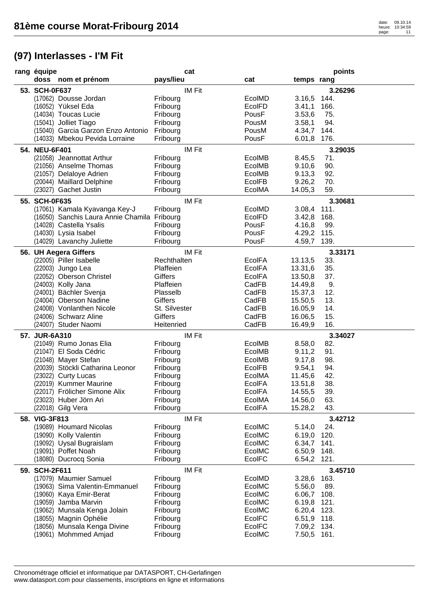| rang équipe                                  | cat                  |               |             | points  |
|----------------------------------------------|----------------------|---------------|-------------|---------|
| doss nom et prénom                           | pays/lieu            | cat           | temps rang  |         |
| 53. SCH-0F637                                | IM Fit               |               |             | 3.26296 |
| (17062) Dousse Jordan                        | Fribourg             | EcolMD        | 3.16,5      | 144.    |
| (16052) Yüksel Eda                           | Fribourg             | EcolFD        | 3.41,1      | 166.    |
| (14034) Toucas Lucie                         | Fribourg             | PousF         | 3.53,6      | 75.     |
| (15041) Jolliet Tiago                        | Fribourg             | PousM         | 3.58,1      | 94.     |
| (15040) Garcia Garzon Enzo Antonio           | Fribourg             | PousM         | 4.34,7      | 144.    |
| (14033) Mbekou Pevida Lorraine               | Fribourg             | PousF         | 6.01,8 176. |         |
| 54. NEU-6F401                                | <b>IM Fit</b>        |               |             | 3.29035 |
| (21058) Jeannottat Arthur                    | Fribourg             | EcolMB        | 8.45,5      | 71.     |
| (21056) Anselme Thomas                       |                      | EcolMB        | 9.10,6      | 90.     |
| (21057) Delaloye Adrien                      | Fribourg<br>Fribourg | EcolMB        | 9.13,3      | 92.     |
| (20044) Maillard Delphine                    | Fribourg             | EcolFB        | 9.26,2      | 70.     |
| (23027) Gachet Justin                        | Fribourg             | EcolMA        | 14.05,3     | 59.     |
|                                              |                      |               |             |         |
| 55. SCH-0F635                                | IM Fit               |               |             | 3.30681 |
| (17061) Kamala Kyavanga Key-J                | Fribourg             | EcolMD        | 3.08,4      | 111.    |
| (16050) Sanchis Laura Annie Chamila Fribourg |                      | EcolFD        | 3.42,8      | 168.    |
| (14028) Castella Ysalis                      | Fribourg             | PousF         | 4.16,8      | 99.     |
| (14030) Lysia Isabel                         | Fribourg             | PousF         | 4.29,2 115. |         |
| (14029) Lavanchy Juliette                    | Fribourg             | PousF         | 4.59,7      | 139.    |
| 56. UH Aegera Giffers                        | <b>IM Fit</b>        |               |             | 3.33171 |
| (22005) Piller Isabelle                      | Rechthalten          | <b>EcolFA</b> | 13.13,5     | 33.     |
| (22003) Jungo Lea                            | Plaffeien            | <b>EcolFA</b> | 13.31,6     | 35.     |
| (22052) Oberson Christel                     | <b>Giffers</b>       | <b>EcolFA</b> | 13.50,8     | 37.     |
| (24003) Kolly Jana                           | Plaffeien            | CadFB         | 14.49,8     | 9.      |
| (24001) Bächler Svenja                       | Plasselb             | CadFB         | 15.37,3     | 12.     |
| (24004) Oberson Nadine                       | <b>Giffers</b>       | CadFB         | 15.50,5     | 13.     |
| (24008) Vonlanthen Nicole                    | St. Silvester        | CadFB         | 16.05,9     | 14.     |
| (24006) Schwarz Aline                        | Giffers              | CadFB         | 16.06,5     | 15.     |
| (24007) Studer Naomi                         | Heitenried           | CadFB         | 16.49,9     | 16.     |
| 57. JUR-6A310                                | IM Fit               |               |             | 3.34027 |
| (21049) Rumo Jonas Elia                      | Fribourg             | EcolMB        | 8.58,0      | 82.     |
| (21047) El Soda Cédric                       | Fribourg             | EcolMB        | 9.11,2      | 91.     |
| (21048) Mayer Stefan                         | Fribourg             | EcolMB        | 9.17,8      | 98.     |
| (20039) Stöckli Catharina Leonor             | Fribourg             | EcolFB        | 9.54,1      | 94.     |
| (23022) Curty Lucas                          | Fribourg             | EcolMA        | 11.45,6     | 42.     |
| (22019) Kummer Maurine                       | Fribourg             | <b>EcolFA</b> | 13.51,8     | 38.     |
| (22017) Frölicher Simone Alix                | Fribourg             | <b>EcolFA</b> | 14.55,5     | 39.     |
| (23023) Huber Jörn Ari                       | Fribourg             | EcolMA        | 14.56,0     | 63.     |
| (22018) Gilg Vera                            | Fribourg             | <b>EcolFA</b> | 15.28,2     | 43.     |
| 58. VIG-3F813                                | IM Fit               |               |             | 3.42712 |
| (19089) Houmard Nicolas                      | Fribourg             | EcolMC        | 5.14,0      | 24.     |
| (19090) Kolly Valentin                       | Fribourg             | EcolMC        | 6.19,0 120. |         |
| (19092) Uysal Bugraislam                     | Fribourg             | EcolMC        | 6.34,7 141. |         |
| (19091) Poffet Noah                          | Fribourg             | EcolMC        | 6.50,9 148. |         |
| (18080) Ducrocq Sonia                        | Fribourg             | <b>EcolFC</b> | 6.54,2 121. |         |
| 59. SCH-2F611                                | IM Fit               |               |             | 3.45710 |
| (17079) Maumier Samuel                       | Fribourg             | EcolMD        | 3.28,6 163. |         |
| (19063) Sima Valentin-Emmanuel               | Fribourg             | EcolMC        | 5.56,0      | 89.     |
| (19060) Kaya Emir-Berat                      | Fribourg             | EcoIMC        | 6.06,7 108. |         |
| (19059) Jamba Marvin                         | Fribourg             | EcolMC        | 6.19,8 121. |         |
| (19062) Munsala Kenga Jolain                 | Fribourg             | EcoIMC        | 6.20,4 123. |         |
| (18055) Magnin Ophélie                       | Fribourg             | <b>EcolFC</b> | 6.51,9 118. |         |
| (18056) Munsala Kenga Divine                 | Fribourg             | <b>EcolFC</b> | 7.09,2 134. |         |
| (19061) Mohmmed Amjad                        | Fribourg             | EcolMC        | 7.50,5 161. |         |
|                                              |                      |               |             |         |